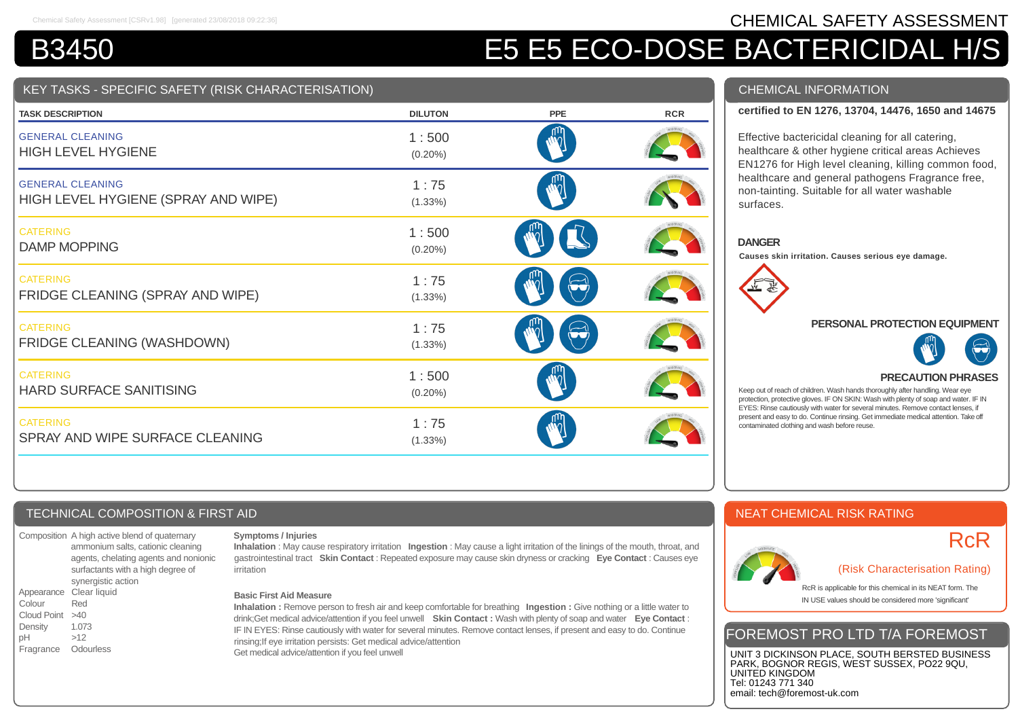# Chemical Safety Assessment [CSRv1.98] [generated 23/08/2018 09:22:36] **CHEMICAL SAFETY ASSESSMENT**

# B3450 E5 E5 E5 ECO-DOSE BACTERICIDAL H/S

# KEY TASKS - SPECIFIC SAFETY (RISK CHARACTERISATION)

| <b>TASK DESCRIPTION</b>                                        | <b>DILUTON</b>      | <b>PPE</b> | <b>RCR</b> |
|----------------------------------------------------------------|---------------------|------------|------------|
| <b>GENERAL CLEANING</b><br><b>HIGH LEVEL HYGIENE</b>           | 1:500<br>$(0.20\%)$ |            |            |
| <b>GENERAL CLEANING</b><br>HIGH LEVEL HYGIENE (SPRAY AND WIPE) | 1:75<br>$(1.33\%)$  |            |            |
| <b>CATERING</b><br><b>DAMP MOPPING</b>                         | 1:500<br>$(0.20\%)$ |            |            |
| <b>CATERING</b><br>FRIDGE CLEANING (SPRAY AND WIPE)            | 1:75<br>$(1.33\%)$  |            |            |
| <b>CATERING</b><br>FRIDGE CLEANING (WASHDOWN)                  | 1:75<br>(1.33%)     |            |            |
| <b>CATERING</b><br><b>HARD SURFACE SANITISING</b>              | 1:500<br>$(0.20\%)$ |            |            |
| <b>CATERING</b><br>SPRAY AND WIPE SURFACE CLEANING             | 1:75<br>(1.33%)     |            |            |

# CHEMICAL INFORMATION

# **certified to EN 1276, 13704, 14476, 1650 and 14675**

Effective bactericidal cleaning for all catering, healthcare & other hygiene critical areas Achieves EN1276 for High level cleaning, killing common food, healthcare and general pathogens Fragrance free, non-tainting. Suitable for all water washable surfaces.

#### **DANGER**

**Causes skin irritation. Causes serious eye damage.**



#### **PERSONAL PROTECTION EQUIPMENT**



# **PRECAUTION PHRASES**

Keep out of reach of children. Wash hands thoroughly after handling. Wear eye protection, protective gloves. IF ON SKIN: Wash with plenty of soap and water. IF IN EYES: Rinse cautiously with water for several minutes. Remove contact lenses, if present and easy to do. Continue rinsing. Get immediate medical attention. Take off contaminated clothing and wash before reuse.

# NEAT CHEMICAL RISK RATING



# RcR

(Risk Characterisation Rating)

RcR is applicable for this chemical in its NEAT form. The IN USE values should be considered more 'significant'

# FOREMOST PRO LTD T/A FOREMOST

UNIT 3 DICKINSON PLACE, SOUTH BERSTED BUSINESS PARK, BOGNOR REGIS, WEST SUSSEX, PO22 9QU, UNITED KINGDOM Tel: 01243 771 340 email: tech@foremost-uk.com

# TECHNICAL COMPOSITION & FIRST AID

Composition A high active blend of quaternary ammonium salts, cationic cleaning agents, chelating agents and nonionic surfactants with a high degree of synergistic action Appearance Clear liquid Colour Red Cloud Point >40 Density 1.073 pH >12 Fragrance Odourless

#### **Symptoms / Injuries**

**Inhalation** : May cause respiratory irritation **Ingestion** : May cause a light irritation of the linings of the mouth, throat, and gastrointestinal tract **Skin Contact** : Repeated exposure may cause skin dryness or cracking **Eye Contact** : Causes eye irritation

#### **Basic First Aid Measure**

**Inhalation :** Remove person to fresh air and keep comfortable for breathing **Ingestion :** Give nothing or a little water to drink;Get medical advice/attention if you feel unwell **Skin Contact :** Wash with plenty of soap and water **Eye Contact** : IF IN EYES: Rinse cautiously with water for several minutes. Remove contact lenses, if present and easy to do. Continue rinsing;If eye irritation persists: Get medical advice/attention Get medical advice/attention if you feel unwell